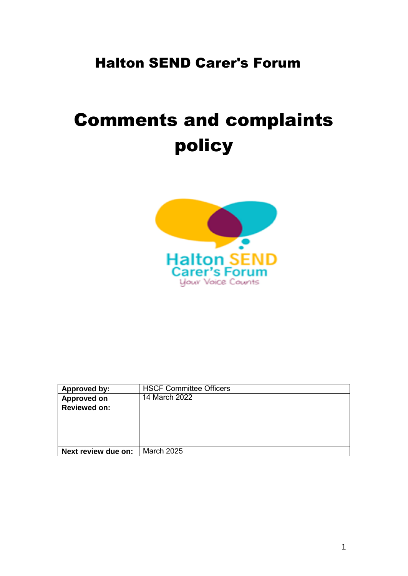# Halton SEND Carer's Forum

# Comments and complaints policy



| Approved by:        | <b>HSCF Committee Officers</b> |
|---------------------|--------------------------------|
| Approved on         | 14 March 2022                  |
| <b>Reviewed on:</b> |                                |
|                     |                                |
|                     |                                |
|                     |                                |
|                     |                                |
| Next review due on: | <b>March 2025</b>              |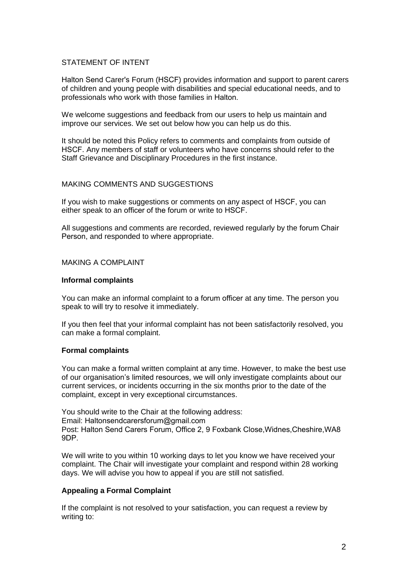# STATEMENT OF INTENT

Halton Send Carer's Forum (HSCF) provides information and support to parent carers of children and young people with disabilities and special educational needs, and to professionals who work with those families in Halton.

We welcome suggestions and feedback from our users to help us maintain and improve our services. We set out below how you can help us do this.

It should be noted this Policy refers to comments and complaints from outside of HSCF. Any members of staff or volunteers who have concerns should refer to the Staff Grievance and Disciplinary Procedures in the first instance.

### MAKING COMMENTS AND SUGGESTIONS

If you wish to make suggestions or comments on any aspect of HSCF, you can either speak to an officer of the forum or write to HSCF.

All suggestions and comments are recorded, reviewed regularly by the forum Chair Person, and responded to where appropriate.

# MAKING A COMPLAINT

### **Informal complaints**

You can make an informal complaint to a forum officer at any time. The person you speak to will try to resolve it immediately.

If you then feel that your informal complaint has not been satisfactorily resolved, you can make a formal complaint.

#### **Formal complaints**

You can make a formal written complaint at any time. However, to make the best use of our organisation's limited resources, we will only investigate complaints about our current services, or incidents occurring in the six months prior to the date of the complaint, except in very exceptional circumstances.

You should write to the Chair at the following address: Email: [Haltonsendcarersforum@gmail.com](mailto:enquiries@sheffieldparentcarerforum.org.uk) Post: Halton Send Carers Forum, Office 2, 9 Foxbank Close,Widnes,Cheshire,WA8 9DP.

We will write to you within 10 working days to let you know we have received your complaint. The Chair will investigate your complaint and respond within 28 working days. We will advise you how to appeal if you are still not satisfied.

# **Appealing a Formal Complaint**

If the complaint is not resolved to your satisfaction, you can request a review by writing to: